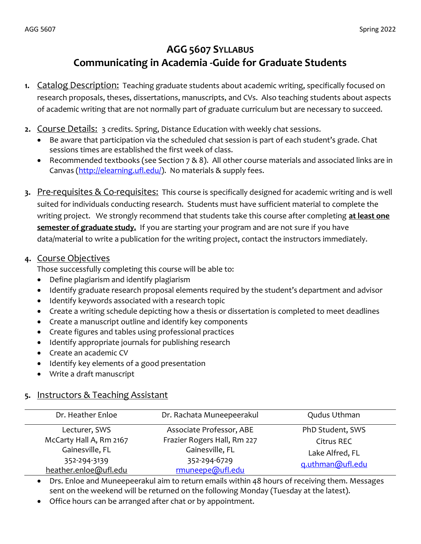# AGG 5607 SYLLABUS Communicating in Academia -Guide for Graduate Students

- 1. Catalog Description: Teaching graduate students about academic writing, specifically focused on research proposals, theses, dissertations, manuscripts, and CVs. Also teaching students about aspects of academic writing that are not normally part of graduate curriculum but are necessary to succeed.
- 2. Course Details: 3 credits. Spring, Distance Education with weekly chat sessions.
	- Be aware that participation via the scheduled chat session is part of each student's grade. Chat sessions times are established the first week of class.
	- Recommended textbooks (see Section 7 & 8). All other course materials and associated links are in Canvas (http://elearning.ufl.edu/). No materials & supply fees.
- 3. Pre-requisites & Co-requisites: This course is specifically designed for academic writing and is well suited for individuals conducting research. Students must have sufficient material to complete the writing project. We strongly recommend that students take this course after completing at least one semester of graduate study. If you are starting your program and are not sure if you have data/material to write a publication for the writing project, contact the instructors immediately.

## 4. Course Objectives

Those successfully completing this course will be able to:

- Define plagiarism and identify plagiarism
- Identify graduate research proposal elements required by the student's department and advisor
- Identify keywords associated with a research topic
- Create a writing schedule depicting how a thesis or dissertation is completed to meet deadlines
- Create a manuscript outline and identify key components
- Create figures and tables using professional practices
- Identify appropriate journals for publishing research
- Create an academic CV
- Identify key elements of a good presentation
- Write a draft manuscript

## 5. Instructors & Teaching Assistant

| Dr. Heather Enloe       | Dr. Rachata Muneepeerakul   | Qudus Uthman     |
|-------------------------|-----------------------------|------------------|
| Lecturer, SWS           | Associate Professor, ABE    | PhD Student, SWS |
| McCarty Hall A, Rm 2167 | Frazier Rogers Hall, Rm 227 | Citrus REC       |
| Gainesville, FL         | Gainesville, FL             | Lake Alfred, FL  |
| 352-294-3139            | 352-294-6729                | g.uthman@ufl.edu |
| heather.enloe@ufl.edu   | rmuneepe@ufl.edu            |                  |

 Drs. Enloe and Muneepeerakul aim to return emails within 48 hours of receiving them. Messages sent on the weekend will be returned on the following Monday (Tuesday at the latest).

Office hours can be arranged after chat or by appointment.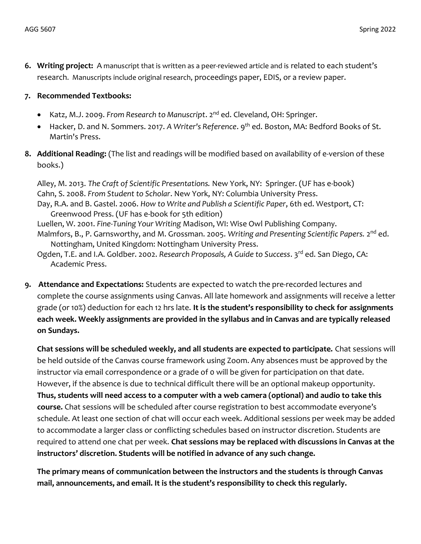6. Writing project: A manuscript that is written as a peer-reviewed article and is related to each student's research. Manuscripts include original research, proceedings paper, EDIS, or a review paper.

#### 7. Recommended Textbooks:

- Katz, M.J. 2009. From Research to Manuscript. 2<sup>nd</sup> ed. Cleveland, OH: Springer.
- Hacker, D. and N. Sommers. 2017. A Writer's Reference. 9<sup>th</sup> ed. Boston, MA: Bedford Books of St. Martin's Press.
- 8. Additional Reading: (The list and readings will be modified based on availability of e-version of these books.)

Alley, M. 2013. The Craft of Scientific Presentations. New York, NY: Springer. (UF has e-book) Cahn, S. 2008. From Student to Scholar. New York, NY: Columbia University Press. Day, R.A. and B. Gastel. 2006. How to Write and Publish a Scientific Paper, 6th ed. Westport, CT: Greenwood Press. (UF has e-book for 5th edition) Luellen, W. 2001. Fine-Tuning Your Writing Madison, WI: Wise Owl Publishing Company. Malmfors, B., P. Garnsworthy, and M. Grossman. 2005. Writing and Presenting Scientific Papers. 2<sup>nd</sup> ed. Nottingham, United Kingdom: Nottingham University Press. Ogden, T.E. and I.A. Goldber. 2002. Research Proposals, A Guide to Success. 3<sup>rd</sup> ed. San Diego, CA:

- Academic Press.
- 9. Attendance and Expectations: Students are expected to watch the pre-recorded lectures and complete the course assignments using Canvas. All late homework and assignments will receive a letter grade (or 10%) deduction for each 12 hrs late. It is the student's responsibility to check for assignments each week. Weekly assignments are provided in the syllabus and in Canvas and are typically released on Sundays.

 Chat sessions will be scheduled weekly, and all students are expected to participate. Chat sessions will be held outside of the Canvas course framework using Zoom. Any absences must be approved by the instructor via email correspondence or a grade of 0 will be given for participation on that date. However, if the absence is due to technical difficult there will be an optional makeup opportunity. Thus, students will need access to a computer with a web camera (optional) and audio to take this course. Chat sessions will be scheduled after course registration to best accommodate everyone's schedule. At least one section of chat will occur each week. Additional sessions per week may be added to accommodate a larger class or conflicting schedules based on instructor discretion. Students are required to attend one chat per week. Chat sessions may be replaced with discussions in Canvas at the instructors' discretion. Students will be notified in advance of any such change.

 The primary means of communication between the instructors and the students is through Canvas mail, announcements, and email. It is the student's responsibility to check this regularly.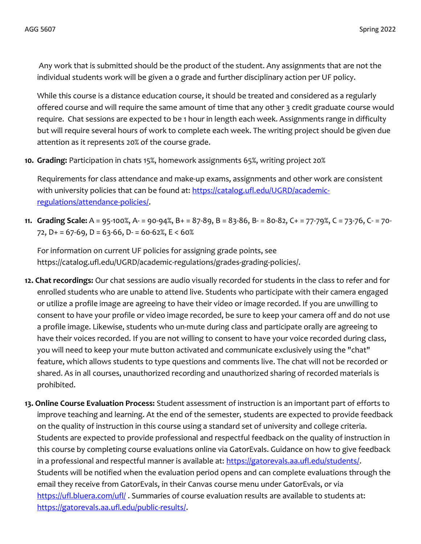Any work that is submitted should be the product of the student. Any assignments that are not the individual students work will be given a 0 grade and further disciplinary action per UF policy.

While this course is a distance education course, it should be treated and considered as a regularly offered course and will require the same amount of time that any other 3 credit graduate course would require. Chat sessions are expected to be 1 hour in length each week. Assignments range in difficulty but will require several hours of work to complete each week. The writing project should be given due attention as it represents 20% of the course grade.

10. Grading: Participation in chats 15%, homework assignments 65%, writing project 20%

Requirements for class attendance and make-up exams, assignments and other work are consistent with university policies that can be found at: https://catalog.ufl.edu/UGRD/academicregulations/attendance-policies/.

11. Grading Scale: A = 95-100%, A- = 90-94%, B+ = 87-89, B = 83-86, B- = 80-82, C+ = 77-79%, C = 73-76, C- = 70- 72,  $D+ = 67-69$ ,  $D = 63-66$ ,  $D = 60-62$ %,  $E < 60$ %

For information on current UF policies for assigning grade points, see https://catalog.ufl.edu/UGRD/academic-regulations/grades-grading-policies/.

- 12. Chat recordings: Our chat sessions are audio visually recorded for students in the class to refer and for enrolled students who are unable to attend live. Students who participate with their camera engaged or utilize a profile image are agreeing to have their video or image recorded. If you are unwilling to consent to have your profile or video image recorded, be sure to keep your camera off and do not use a profile image. Likewise, students who un-mute during class and participate orally are agreeing to have their voices recorded. If you are not willing to consent to have your voice recorded during class, you will need to keep your mute button activated and communicate exclusively using the "chat" feature, which allows students to type questions and comments live. The chat will not be recorded or shared. As in all courses, unauthorized recording and unauthorized sharing of recorded materials is prohibited.
- 13. Online Course Evaluation Process: Student assessment of instruction is an important part of efforts to improve teaching and learning. At the end of the semester, students are expected to provide feedback on the quality of instruction in this course using a standard set of university and college criteria. Students are expected to provide professional and respectful feedback on the quality of instruction in this course by completing course evaluations online via GatorEvals. Guidance on how to give feedback in a professional and respectful manner is available at: https://gatorevals.aa.ufl.edu/students/. Students will be notified when the evaluation period opens and can complete evaluations through the email they receive from GatorEvals, in their Canvas course menu under GatorEvals, or via https://ufl.bluera.com/ufl/. Summaries of course evaluation results are available to students at: https://gatorevals.aa.ufl.edu/public-results/.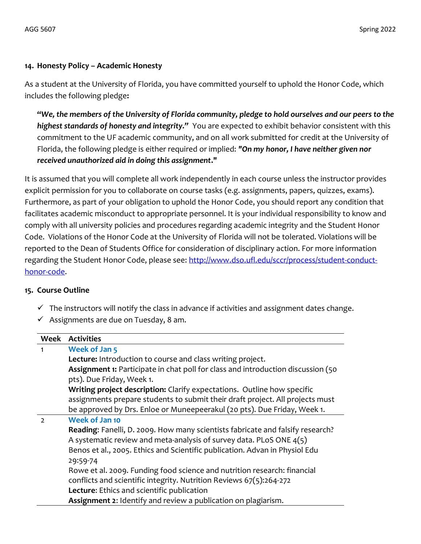### 14. Honesty Policy – Academic Honesty

As a student at the University of Florida, you have committed yourself to uphold the Honor Code, which includes the following pledge:

"We, the members of the University of Florida community, pledge to hold ourselves and our peers to the highest standards of honesty and integrity." You are expected to exhibit behavior consistent with this commitment to the UF academic community, and on all work submitted for credit at the University of Florida, the following pledge is either required or implied: "On my honor, I have neither given nor received unauthorized aid in doing this assignment."

It is assumed that you will complete all work independently in each course unless the instructor provides explicit permission for you to collaborate on course tasks (e.g. assignments, papers, quizzes, exams). Furthermore, as part of your obligation to uphold the Honor Code, you should report any condition that facilitates academic misconduct to appropriate personnel. It is your individual responsibility to know and comply with all university policies and procedures regarding academic integrity and the Student Honor Code. Violations of the Honor Code at the University of Florida will not be tolerated. Violations will be reported to the Dean of Students Office for consideration of disciplinary action. For more information regarding the Student Honor Code, please see: http://www.dso.ufl.edu/sccr/process/student-conducthonor-code.

#### 15. Course Outline

- $\checkmark$  The instructors will notify the class in advance if activities and assignment dates change.
- $\checkmark$  Assignments are due on Tuesday, 8 am.

|               | <b>Week Activities</b>                                                           |  |
|---------------|----------------------------------------------------------------------------------|--|
| 1             | <b>Week of Jan 5</b>                                                             |  |
|               | Lecture: Introduction to course and class writing project.                       |  |
|               | Assignment 1: Participate in chat poll for class and introduction discussion (50 |  |
|               | pts). Due Friday, Week 1.                                                        |  |
|               | Writing project description: Clarify expectations. Outline how specific          |  |
|               | assignments prepare students to submit their draft project. All projects must    |  |
|               | be approved by Drs. Enloe or Muneepeerakul (20 pts). Due Friday, Week 1.         |  |
| $\mathcal{L}$ | <b>Week of Jan 10</b>                                                            |  |
|               | Reading: Fanelli, D. 2009. How many scientists fabricate and falsify research?   |  |
|               | A systematic review and meta-analysis of survey data. PLoS ONE 4(5)              |  |
|               | Benos et al., 2005. Ethics and Scientific publication. Advan in Physiol Edu      |  |
|               | 29:59-74                                                                         |  |
|               | Rowe et al. 2009. Funding food science and nutrition research: financial         |  |
|               | conflicts and scientific integrity. Nutrition Reviews 67(5):264-272              |  |
|               | Lecture: Ethics and scientific publication                                       |  |
|               | Assignment 2: Identify and review a publication on plagiarism.                   |  |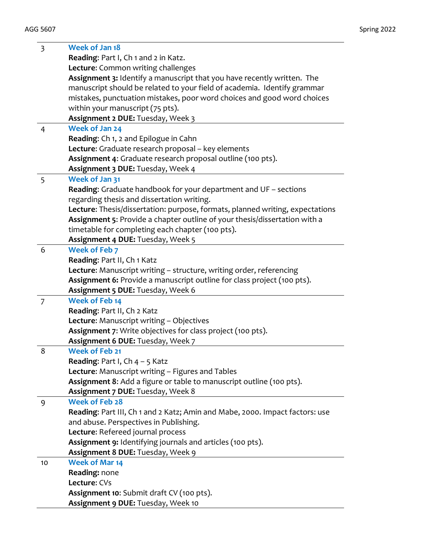| $\overline{\mathbf{3}}$ | Week of Jan 18                                                                |
|-------------------------|-------------------------------------------------------------------------------|
|                         | Reading: Part I, Ch 1 and 2 in Katz.                                          |
|                         | Lecture: Common writing challenges                                            |
|                         | Assignment 3: Identify a manuscript that you have recently written. The       |
|                         | manuscript should be related to your field of academia. Identify grammar      |
|                         | mistakes, punctuation mistakes, poor word choices and good word choices       |
|                         | within your manuscript (75 pts).                                              |
|                         | Assignment 2 DUE: Tuesday, Week 3                                             |
| $\overline{4}$          | <b>Week of Jan 24</b>                                                         |
|                         | Reading: Ch 1, 2 and Epilogue in Cahn                                         |
|                         | Lecture: Graduate research proposal - key elements                            |
|                         | Assignment 4: Graduate research proposal outline (100 pts).                   |
|                         | Assignment 3 DUE: Tuesday, Week 4                                             |
| 5                       | Week of Jan 31                                                                |
|                         | Reading: Graduate handbook for your department and UF - sections              |
|                         | regarding thesis and dissertation writing.                                    |
|                         | Lecture: Thesis/dissertation: purpose, formats, planned writing, expectations |
|                         | Assignment 5: Provide a chapter outline of your thesis/dissertation with a    |
|                         | timetable for completing each chapter (100 pts).                              |
|                         | Assignment 4 DUE: Tuesday, Week 5                                             |
| 6                       | <b>Week of Feb 7</b>                                                          |
|                         | Reading: Part II, Ch 1 Katz                                                   |
|                         | Lecture: Manuscript writing - structure, writing order, referencing           |
|                         | Assignment 6: Provide a manuscript outline for class project (100 pts).       |
|                         | Assignment 5 DUE: Tuesday, Week 6                                             |
| $\overline{7}$          | <b>Week of Feb 14</b>                                                         |
|                         | Reading: Part II, Ch 2 Katz                                                   |
|                         | Lecture: Manuscript writing - Objectives                                      |
|                         | Assignment 7: Write objectives for class project (100 pts).                   |
|                         | Assignment 6 DUE: Tuesday, Week 7                                             |
| 8                       | <b>Week of Feb 21</b>                                                         |
|                         | <b>Reading:</b> Part I, $Ch$ 4 – 5 Katz                                       |
|                         | Lecture: Manuscript writing - Figures and Tables                              |
|                         | Assignment 8: Add a figure or table to manuscript outline (100 pts).          |
|                         | Assignment 7 DUE: Tuesday, Week 8                                             |
| 9                       | <b>Week of Feb 28</b>                                                         |
|                         | Reading: Part III, Ch 1 and 2 Katz; Amin and Mabe, 2000. Impact factors: use  |
|                         | and abuse. Perspectives in Publishing.                                        |
|                         | Lecture: Refereed journal process                                             |
|                         | Assignment 9: Identifying journals and articles (100 pts).                    |
|                         | Assignment 8 DUE: Tuesday, Week 9                                             |
| 10                      | <b>Week of Mar 14</b>                                                         |
|                         | Reading: none                                                                 |
|                         | Lecture: CVs                                                                  |
|                         | Assignment 10: Submit draft CV (100 pts).                                     |
|                         | Assignment 9 DUE: Tuesday, Week 10                                            |
|                         |                                                                               |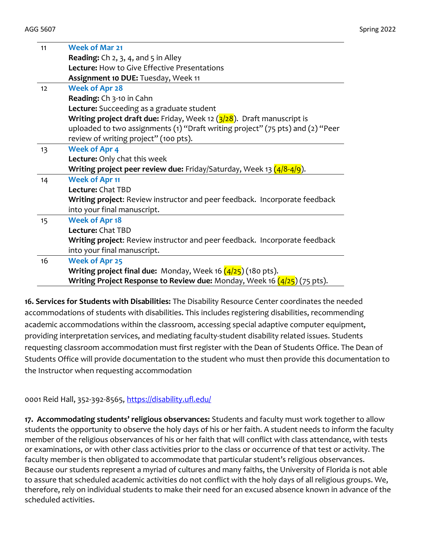| 11 | <b>Week of Mar 21</b>                                                                               |
|----|-----------------------------------------------------------------------------------------------------|
|    | <b>Reading:</b> $Ch$ 2, 3, 4, and 5 in Alley                                                        |
|    | <b>Lecture:</b> How to Give Effective Presentations                                                 |
|    | Assignment 10 DUE: Tuesday, Week 11                                                                 |
| 12 | <b>Week of Apr 28</b>                                                                               |
|    | Reading: Ch 3-10 in Cahn                                                                            |
|    | <b>Lecture:</b> Succeeding as a graduate student                                                    |
|    | <b>Writing project draft due:</b> Friday, Week 12 $\left(\frac{3}{28}\right)$ . Draft manuscript is |
|    | uploaded to two assignments (1) "Draft writing project" (75 pts) and (2) "Peer                      |
|    | review of writing project" (100 pts).                                                               |
| 13 | <b>Week of Apr 4</b>                                                                                |
|    | Lecture: Only chat this week                                                                        |
|    | Writing project peer review due: Friday/Saturday, Week 13 (4/8-4/9).                                |
| 14 | <b>Week of Apr 11</b>                                                                               |
|    | Lecture: Chat TBD                                                                                   |
|    | Writing project: Review instructor and peer feedback. Incorporate feedback                          |
|    | into your final manuscript.                                                                         |
| 15 | <b>Week of Apr 18</b>                                                                               |
|    | Lecture: Chat TBD                                                                                   |
|    | Writing project: Review instructor and peer feedback. Incorporate feedback                          |
|    | into your final manuscript.                                                                         |
| 16 | <b>Week of Apr 25</b>                                                                               |
|    | <b>Writing project final due:</b> Monday, Week 16 $(4/25)$ (180 pts).                               |
|    | Writing Project Response to Review due: Monday, Week 16 (4/25) (75 pts).                            |

16. Services for Students with Disabilities: The Disability Resource Center coordinates the needed accommodations of students with disabilities. This includes registering disabilities, recommending academic accommodations within the classroom, accessing special adaptive computer equipment, providing interpretation services, and mediating faculty-student disability related issues. Students requesting classroom accommodation must first register with the Dean of Students Office. The Dean of Students Office will provide documentation to the student who must then provide this documentation to the Instructor when requesting accommodation

0001 Reid Hall, 352-392-8565, https://disability.ufl.edu/

17. Accommodating students' religious observances: Students and faculty must work together to allow students the opportunity to observe the holy days of his or her faith. A student needs to inform the faculty member of the religious observances of his or her faith that will conflict with class attendance, with tests or examinations, or with other class activities prior to the class or occurrence of that test or activity. The faculty member is then obligated to accommodate that particular student's religious observances. Because our students represent a myriad of cultures and many faiths, the University of Florida is not able to assure that scheduled academic activities do not conflict with the holy days of all religious groups. We, therefore, rely on individual students to make their need for an excused absence known in advance of the scheduled activities.